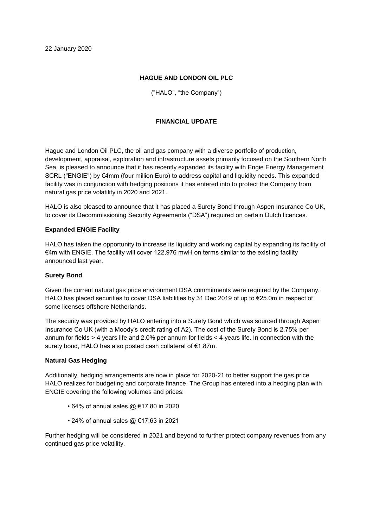## **HAGUE AND LONDON OIL PLC**

("HALO", "the Company")

# **FINANCIAL UPDATE**

Hague and London Oil PLC, the oil and gas company with a diverse portfolio of production, development, appraisal, exploration and infrastructure assets primarily focused on the Southern North Sea, is pleased to announce that it has recently expanded its facility with Engie Energy Management SCRL ("ENGIE") by €4mm (four million Euro) to address capital and liquidity needs. This expanded facility was in conjunction with hedging positions it has entered into to protect the Company from natural gas price volatility in 2020 and 2021.

HALO is also pleased to announce that it has placed a Surety Bond through Aspen Insurance Co UK, to cover its Decommissioning Security Agreements ("DSA") required on certain Dutch licences.

### **Expanded ENGIE Facility**

HALO has taken the opportunity to increase its liquidity and working capital by expanding its facility of €4m with ENGIE. The facility will cover 122,976 mwH on terms similar to the existing facility announced last year.

### **Surety Bond**

Given the current natural gas price environment DSA commitments were required by the Company. HALO has placed securities to cover DSA liabilities by 31 Dec 2019 of up to €25.0m in respect of some licenses offshore Netherlands.

The security was provided by HALO entering into a Surety Bond which was sourced through Aspen Insurance Co UK (with a Moody's credit rating of A2). The cost of the Surety Bond is 2.75% per annum for fields > 4 years life and 2.0% per annum for fields < 4 years life. In connection with the surety bond, HALO has also posted cash collateral of €1.87m.

#### **Natural Gas Hedging**

Additionally, hedging arrangements are now in place for 2020-21 to better support the gas price HALO realizes for budgeting and corporate finance. The Group has entered into a hedging plan with ENGIE covering the following volumes and prices:

- 64% of annual sales @ €17.80 in 2020
- 24% of annual sales @ €17.63 in 2021

Further hedging will be considered in 2021 and beyond to further protect company revenues from any continued gas price volatility.